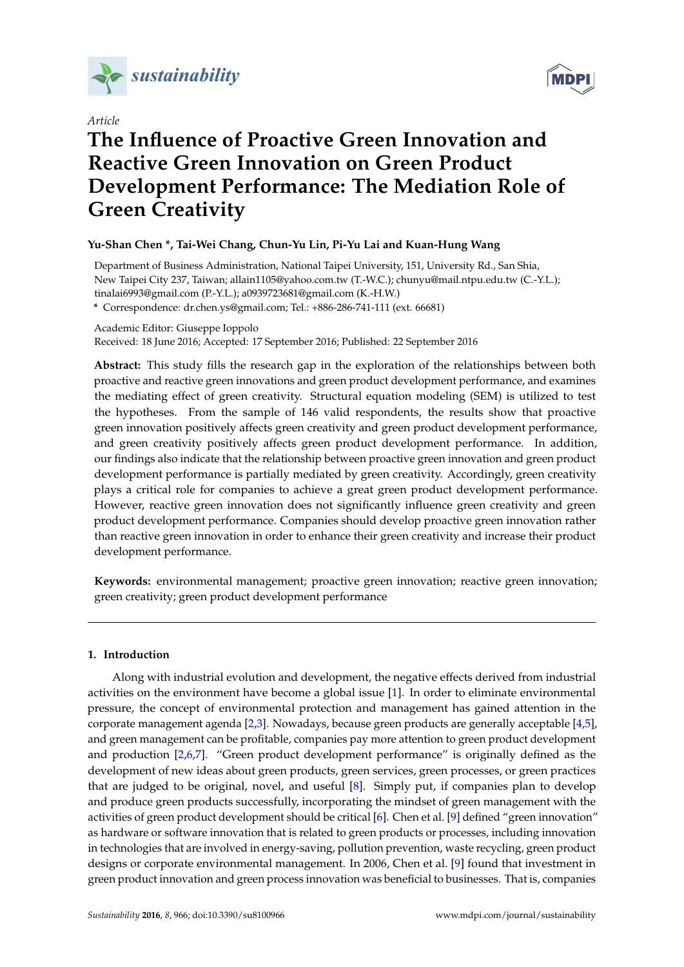

*Article*



# **The Influence of Proactive Green Innovation and Reactive Green Innovation on Green Product Development Performance: The Mediation Role of Green Creativity**

## **Yu-Shan Chen \*, Tai-Wei Chang, Chun-Yu Lin, Pi-Yu Lai and Kuan-Hung Wang**

Department of Business Administration, National Taipei University, 151, University Rd., San Shia, New Taipei City 237, Taiwan; allain1105@yahoo.com.tw (T.-W.C.); chunyu@mail.ntpu.edu.tw (C.-Y.L.); tinalai6993@gmail.com (P.-Y.L.); a0939723681@gmail.com (K.-H.W.)

**\*** Correspondence: dr.chen.ys@gmail.com; Tel.: +886-286-741-111 (ext. 66681)

Academic Editor: Giuseppe Ioppolo

Received: 18 June 2016; Accepted: 17 September 2016; Published: 22 September 2016

**Abstract:** This study fills the research gap in the exploration of the relationships between both proactive and reactive green innovations and green product development performance, and examines the mediating effect of green creativity. Structural equation modeling (SEM) is utilized to test the hypotheses. From the sample of 146 valid respondents, the results show that proactive green innovation positively affects green creativity and green product development performance, and green creativity positively affects green product development performance. In addition, our findings also indicate that the relationship between proactive green innovation and green product development performance is partially mediated by green creativity. Accordingly, green creativity plays a critical role for companies to achieve a great green product development performance. However, reactive green innovation does not significantly influence green creativity and green product development performance. Companies should develop proactive green innovation rather than reactive green innovation in order to enhance their green creativity and increase their product development performance.

**Keywords:** environmental management; proactive green innovation; reactive green innovation; green creativity; green product development performance

## **1. Introduction**

Along with industrial evolution and development, the negative effects derived from industrial activities on the environment have become a global issue [\[1\]](#page-9-0). In order to eliminate environmental pressure, the concept of environmental protection and management has gained attention in the corporate management agenda [\[2,](#page-9-1)[3\]](#page-9-2). Nowadays, because green products are generally acceptable [\[4](#page-9-3)[,5\]](#page-9-4), and green management can be profitable, companies pay more attention to green product development and production [\[2,](#page-9-1)[6,](#page-9-5)[7\]](#page-9-6). "Green product development performance" is originally defined as the development of new ideas about green products, green services, green processes, or green practices that are judged to be original, novel, and useful [\[8\]](#page-9-7). Simply put, if companies plan to develop and produce green products successfully, incorporating the mindset of green management with the activities of green product development should be critical [\[6\]](#page-9-5). Chen et al. [\[9\]](#page-9-8) defined "green innovation" as hardware or software innovation that is related to green products or processes, including innovation in technologies that are involved in energy-saving, pollution prevention, waste recycling, green product designs or corporate environmental management. In 2006, Chen et al. [\[9\]](#page-9-8) found that investment in green product innovation and green process innovation was beneficial to businesses. That is, companies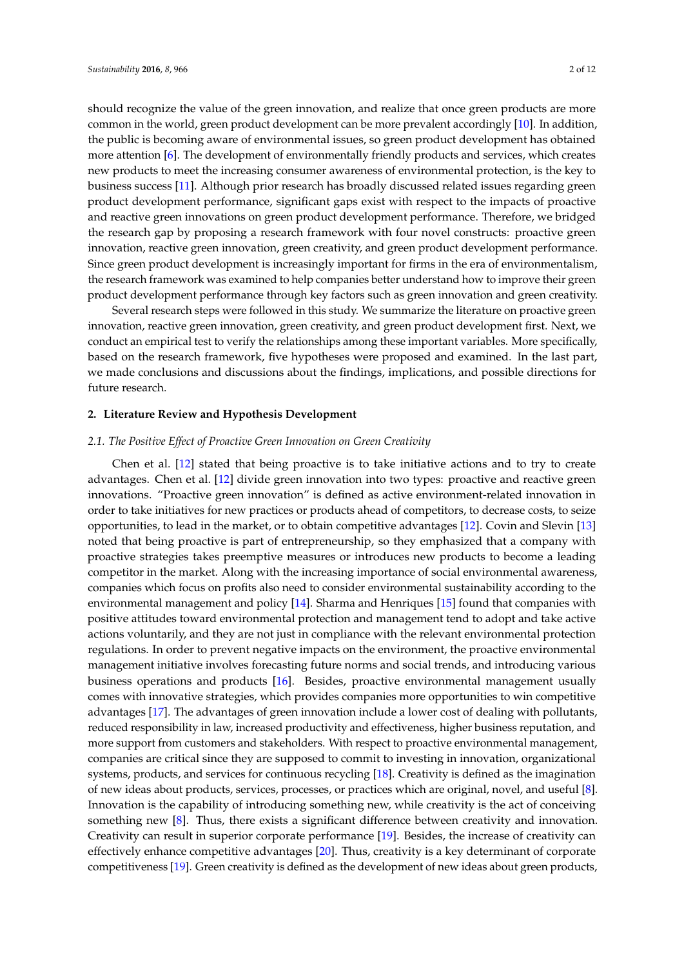should recognize the value of the green innovation, and realize that once green products are more common in the world, green product development can be more prevalent accordingly [\[10\]](#page-9-9). In addition, the public is becoming aware of environmental issues, so green product development has obtained more attention [\[6\]](#page-9-5). The development of environmentally friendly products and services, which creates new products to meet the increasing consumer awareness of environmental protection, is the key to business success [\[11\]](#page-9-10). Although prior research has broadly discussed related issues regarding green product development performance, significant gaps exist with respect to the impacts of proactive and reactive green innovations on green product development performance. Therefore, we bridged the research gap by proposing a research framework with four novel constructs: proactive green innovation, reactive green innovation, green creativity, and green product development performance. Since green product development is increasingly important for firms in the era of environmentalism, the research framework was examined to help companies better understand how to improve their green product development performance through key factors such as green innovation and green creativity.

Several research steps were followed in this study. We summarize the literature on proactive green innovation, reactive green innovation, green creativity, and green product development first. Next, we conduct an empirical test to verify the relationships among these important variables. More specifically, based on the research framework, five hypotheses were proposed and examined. In the last part, we made conclusions and discussions about the findings, implications, and possible directions for future research.

#### **2. Literature Review and Hypothesis Development**

#### *2.1. The Positive Effect of Proactive Green Innovation on Green Creativity*

Chen et al. [\[12\]](#page-9-11) stated that being proactive is to take initiative actions and to try to create advantages. Chen et al. [\[12\]](#page-9-11) divide green innovation into two types: proactive and reactive green innovations. "Proactive green innovation" is defined as active environment-related innovation in order to take initiatives for new practices or products ahead of competitors, to decrease costs, to seize opportunities, to lead in the market, or to obtain competitive advantages [\[12\]](#page-9-11). Covin and Slevin [\[13\]](#page-9-12) noted that being proactive is part of entrepreneurship, so they emphasized that a company with proactive strategies takes preemptive measures or introduces new products to become a leading competitor in the market. Along with the increasing importance of social environmental awareness, companies which focus on profits also need to consider environmental sustainability according to the environmental management and policy [\[14\]](#page-9-13). Sharma and Henriques [\[15\]](#page-9-14) found that companies with positive attitudes toward environmental protection and management tend to adopt and take active actions voluntarily, and they are not just in compliance with the relevant environmental protection regulations. In order to prevent negative impacts on the environment, the proactive environmental management initiative involves forecasting future norms and social trends, and introducing various business operations and products [\[16\]](#page-9-15). Besides, proactive environmental management usually comes with innovative strategies, which provides companies more opportunities to win competitive advantages [\[17\]](#page-9-16). The advantages of green innovation include a lower cost of dealing with pollutants, reduced responsibility in law, increased productivity and effectiveness, higher business reputation, and more support from customers and stakeholders. With respect to proactive environmental management, companies are critical since they are supposed to commit to investing in innovation, organizational systems, products, and services for continuous recycling [\[18\]](#page-9-17). Creativity is defined as the imagination of new ideas about products, services, processes, or practices which are original, novel, and useful [\[8\]](#page-9-7). Innovation is the capability of introducing something new, while creativity is the act of conceiving something new [\[8\]](#page-9-7). Thus, there exists a significant difference between creativity and innovation. Creativity can result in superior corporate performance [\[19\]](#page-9-18). Besides, the increase of creativity can effectively enhance competitive advantages [\[20\]](#page-9-19). Thus, creativity is a key determinant of corporate competitiveness [\[19\]](#page-9-18). Green creativity is defined as the development of new ideas about green products,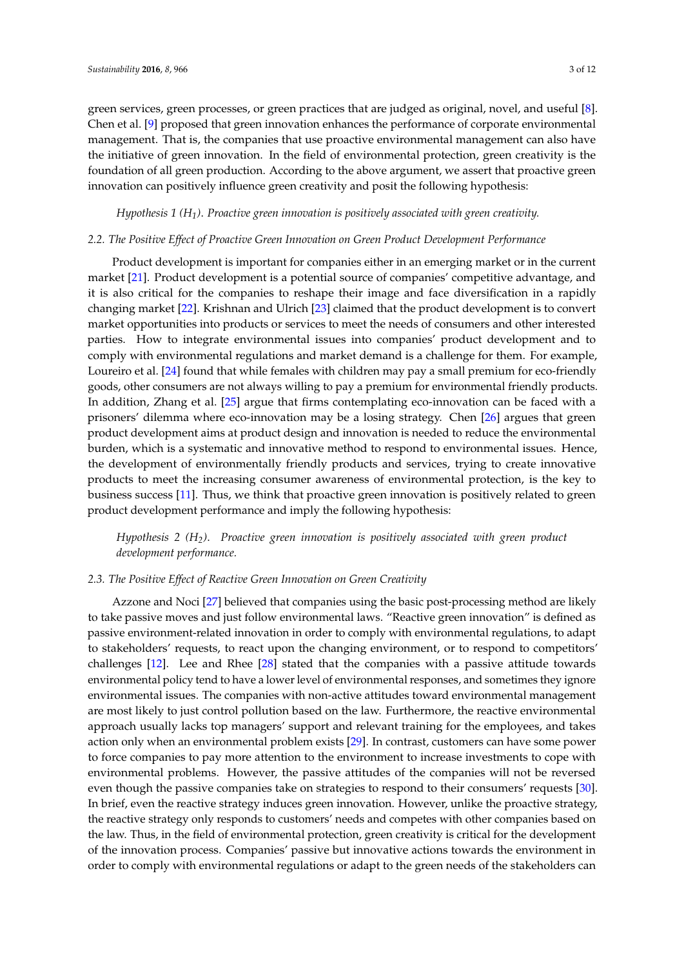green services, green processes, or green practices that are judged as original, novel, and useful [\[8\]](#page-9-7). Chen et al. [\[9\]](#page-9-8) proposed that green innovation enhances the performance of corporate environmental management. That is, the companies that use proactive environmental management can also have the initiative of green innovation. In the field of environmental protection, green creativity is the foundation of all green production. According to the above argument, we assert that proactive green innovation can positively influence green creativity and posit the following hypothesis:

## *Hypothesis 1 (H1)*. *Proactive green innovation is positively associated with green creativity.*

#### *2.2. The Positive Effect of Proactive Green Innovation on Green Product Development Performance*

Product development is important for companies either in an emerging market or in the current market [\[21\]](#page-9-20). Product development is a potential source of companies' competitive advantage, and it is also critical for the companies to reshape their image and face diversification in a rapidly changing market [\[22\]](#page-10-0). Krishnan and Ulrich [\[23\]](#page-10-1) claimed that the product development is to convert market opportunities into products or services to meet the needs of consumers and other interested parties. How to integrate environmental issues into companies' product development and to comply with environmental regulations and market demand is a challenge for them. For example, Loureiro et al. [\[24\]](#page-10-2) found that while females with children may pay a small premium for eco-friendly goods, other consumers are not always willing to pay a premium for environmental friendly products. In addition, Zhang et al. [\[25\]](#page-10-3) argue that firms contemplating eco-innovation can be faced with a prisoners' dilemma where eco-innovation may be a losing strategy. Chen [\[26\]](#page-10-4) argues that green product development aims at product design and innovation is needed to reduce the environmental burden, which is a systematic and innovative method to respond to environmental issues. Hence, the development of environmentally friendly products and services, trying to create innovative products to meet the increasing consumer awareness of environmental protection, is the key to business success [\[11\]](#page-9-10). Thus, we think that proactive green innovation is positively related to green product development performance and imply the following hypothesis:

*Hypothesis 2 (H2)*. *Proactive green innovation is positively associated with green product development performance.*

## *2.3. The Positive Effect of Reactive Green Innovation on Green Creativity*

Azzone and Noci [\[27\]](#page-10-5) believed that companies using the basic post-processing method are likely to take passive moves and just follow environmental laws. "Reactive green innovation" is defined as passive environment-related innovation in order to comply with environmental regulations, to adapt to stakeholders' requests, to react upon the changing environment, or to respond to competitors' challenges [\[12\]](#page-9-11). Lee and Rhee [\[28\]](#page-10-6) stated that the companies with a passive attitude towards environmental policy tend to have a lower level of environmental responses, and sometimes they ignore environmental issues. The companies with non-active attitudes toward environmental management are most likely to just control pollution based on the law. Furthermore, the reactive environmental approach usually lacks top managers' support and relevant training for the employees, and takes action only when an environmental problem exists [\[29\]](#page-10-7). In contrast, customers can have some power to force companies to pay more attention to the environment to increase investments to cope with environmental problems. However, the passive attitudes of the companies will not be reversed even though the passive companies take on strategies to respond to their consumers' requests [\[30\]](#page-10-8). In brief, even the reactive strategy induces green innovation. However, unlike the proactive strategy, the reactive strategy only responds to customers' needs and competes with other companies based on the law. Thus, in the field of environmental protection, green creativity is critical for the development of the innovation process. Companies' passive but innovative actions towards the environment in order to comply with environmental regulations or adapt to the green needs of the stakeholders can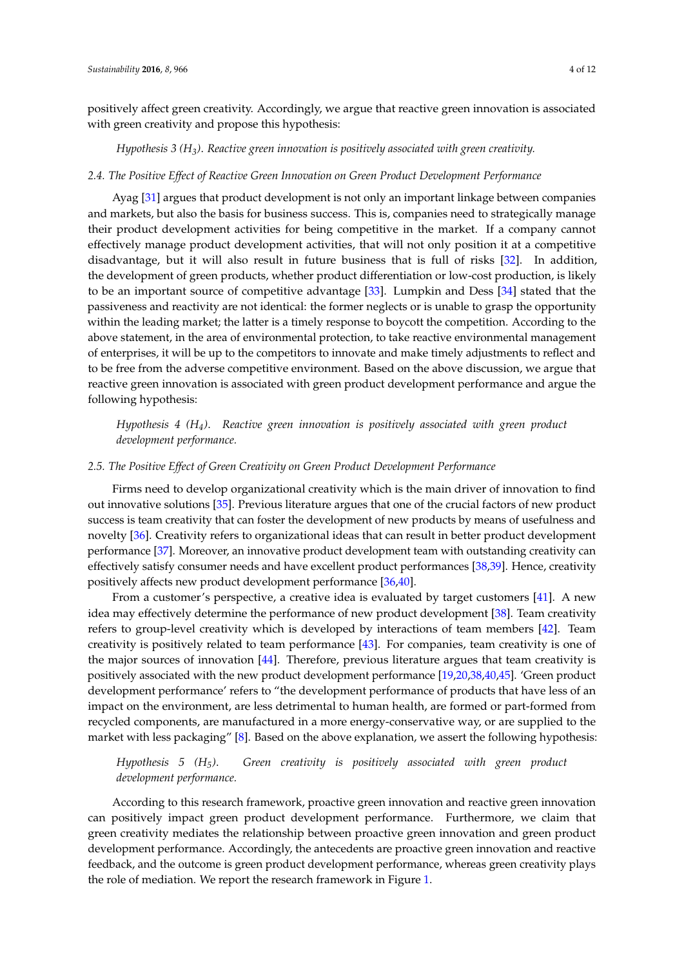positively affect green creativity. Accordingly, we argue that reactive green innovation is associated with green creativity and propose this hypothesis:

*Hypothesis 3 (H3)*. *Reactive green innovation is positively associated with green creativity.*

#### *2.4. The Positive Effect of Reactive Green Innovation on Green Product Development Performance*

Ayag [\[31\]](#page-10-9) argues that product development is not only an important linkage between companies and markets, but also the basis for business success. This is, companies need to strategically manage their product development activities for being competitive in the market. If a company cannot effectively manage product development activities, that will not only position it at a competitive disadvantage, but it will also result in future business that is full of risks [\[32\]](#page-10-10). In addition, the development of green products, whether product differentiation or low-cost production, is likely to be an important source of competitive advantage [\[33\]](#page-10-11). Lumpkin and Dess [\[34\]](#page-10-12) stated that the passiveness and reactivity are not identical: the former neglects or is unable to grasp the opportunity within the leading market; the latter is a timely response to boycott the competition. According to the above statement, in the area of environmental protection, to take reactive environmental management of enterprises, it will be up to the competitors to innovate and make timely adjustments to reflect and to be free from the adverse competitive environment. Based on the above discussion, we argue that reactive green innovation is associated with green product development performance and argue the following hypothesis:

*Hypothesis 4 (H4)*. *Reactive green innovation is positively associated with green product development performance.*

#### *2.5. The Positive Effect of Green Creativity on Green Product Development Performance*

Firms need to develop organizational creativity which is the main driver of innovation to find out innovative solutions [\[35\]](#page-10-13). Previous literature argues that one of the crucial factors of new product success is team creativity that can foster the development of new products by means of usefulness and novelty [\[36\]](#page-10-14). Creativity refers to organizational ideas that can result in better product development performance [\[37\]](#page-10-15). Moreover, an innovative product development team with outstanding creativity can effectively satisfy consumer needs and have excellent product performances [\[38,](#page-10-16)[39\]](#page-10-17). Hence, creativity positively affects new product development performance [\[36](#page-10-14)[,40\]](#page-10-18).

From a customer's perspective, a creative idea is evaluated by target customers [\[41\]](#page-10-19). A new idea may effectively determine the performance of new product development [\[38\]](#page-10-16). Team creativity refers to group-level creativity which is developed by interactions of team members [\[42\]](#page-10-20). Team creativity is positively related to team performance [\[43\]](#page-10-21). For companies, team creativity is one of the major sources of innovation [\[44\]](#page-10-22). Therefore, previous literature argues that team creativity is positively associated with the new product development performance [\[19,](#page-9-18)[20,](#page-9-19)[38](#page-10-16)[,40](#page-10-18)[,45\]](#page-10-23). 'Green product development performance' refers to "the development performance of products that have less of an impact on the environment, are less detrimental to human health, are formed or part-formed from recycled components, are manufactured in a more energy-conservative way, or are supplied to the market with less packaging" [\[8\]](#page-9-7). Based on the above explanation, we assert the following hypothesis:

## *Hypothesis 5 (H5)*. *Green creativity is positively associated with green product development performance.*

According to this research framework, proactive green innovation and reactive green innovation can positively impact green product development performance. Furthermore, we claim that green creativity mediates the relationship between proactive green innovation and green product development performance. Accordingly, the antecedents are proactive green innovation and reactive feedback, and the outcome is green product development performance, whereas green creativity plays the role of mediation. We report the research framework in Figure [1.](#page-4-0)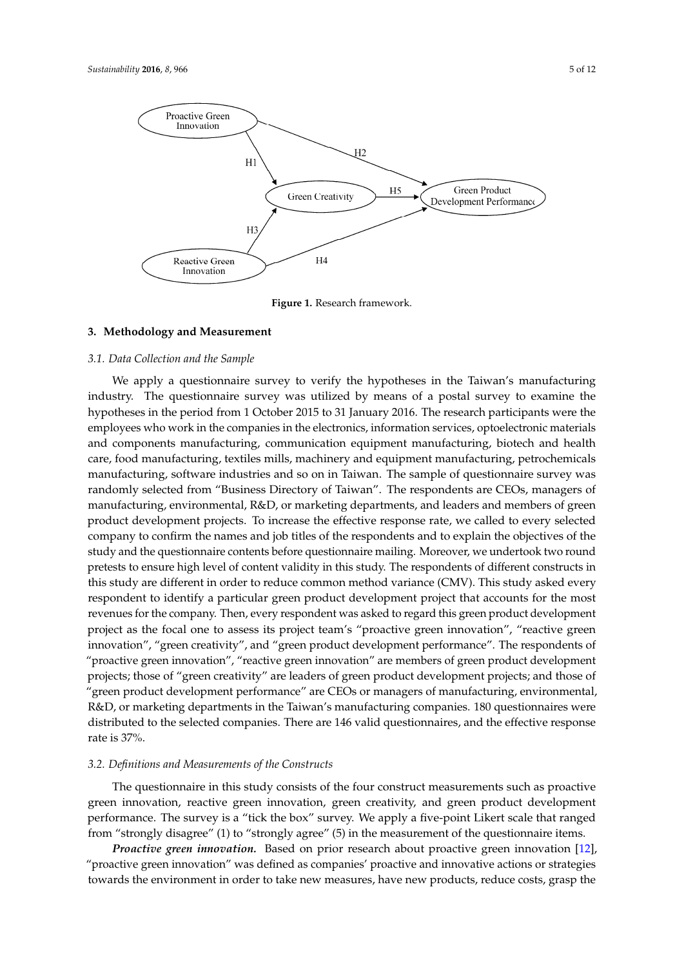<span id="page-4-0"></span>

**Figure 1.** Research framework. **Figure 1.** Research framework.

## **3. Methodology and Measurement 3. Methodology and Measurement**

#### *3.1. Data Collection and the Sample 3.1. Data Collection and the Sample*

We apply a questionnaire survey to verify the hypotheses in the Taiwan's manufacturing We apply a questionnaire survey to verify the hypotheses in the Taiwan's manufacturing industry. The questionnaire survey was utilized by means of a postal survey to examine the industry. The questionnaire survey was utilized by means of a postal survey to examine the hypotheses in the period from 1 October 2015 to 31 January 2016. The research participants were the hypotheses in the period from 1 October 2015 to 31 January 2016. The research participants were the employees who work in the companies in the electronics, information services, optoelectronic employees who work in the companies in the electronics, information services, optoelectronic materials and components manufacturing, communication equipment manufacturing, biotech and health care, food manufacturing, textiles mills, machinery and equipment manufacturing, petrochemicals manufacturing, software industries and so on in Taiwan. The sample of questionnaire survey was randomly selected from "Business Directory of Taiwan". The respondents are CEOs, managers of manufacturing, environmental, R&D, or marketing departments, and leaders and members of green product development projects. To increase the effective response rate, we called to every selected company to confirm the names and job titles of the respondents and to explain the objectives of the study and the questionnaire contents before questionnaire mailing. Moreover, we undertook two round pretests to ensure high level of content validity in this study. The respondents of different constructs in this study are different in order to reduce common method variance (CMV). This study asked every respondent to identify a particular green product development project that accounts for the most revenues for the company. Then, every respondent was asked to regard this green product development project as the focal one to assess its project team's "proactive green innovation", "reactive green innovation", "green creativity", and "green product development performance". The respondents of "proactive green innovation", "reactive green innovation" are members of green product development projects; those of "green creativity" are leaders of green product development projects; and those of "green product development performance" are CEOs or managers of manufacturing, environmental, R&D, or marketing departments in the Taiwan's manufacturing companies. 180 questionnaires were distributed to the selected companies. There are 146 valid questionnaires, and the effective response selection companies. The 146 values of  $\sim$  146 values, and the effective response rate is 37%. rate is 37%.

## *3.2. Definitions and Measurements of the Constructs 3.2. Definitions and Measurements of the Constructs*

The questionnaire in this study consists of the four construct measurements such as proactive The questionnaire in this study consists of the four construct measurements such as proactive green innovation, reactive green innovation, green creativity, and green product development green innovation, reactive green innovation, green creativity, and green product development performance. The survey is a "tick the box" survey. We apply a five-point Likert scale that ranged performance. The survey is a "tick the box" survey. We apply a five-point Likert scale that ranged from "strongly disagree" (1) to "strongly agree" (5) in the measurement of the questionnaire items. from "strongly disagree" (1) to "strongly agree" (5) in the measurement of the questionnaire items.

*Proactive green innovation.* Based on prior research about proactive green innovation [12], *Proactive green innovation.* Based on prior research about proactive green innovation [\[12\]](#page-9-11), "proactive green innovation" was defined as companies' proactive and innovative actions or "proactive green innovation" was defined as companies' proactive and innovative actions or strategies towards the environment in order to take new measures, have new products, reduce costs, grasp the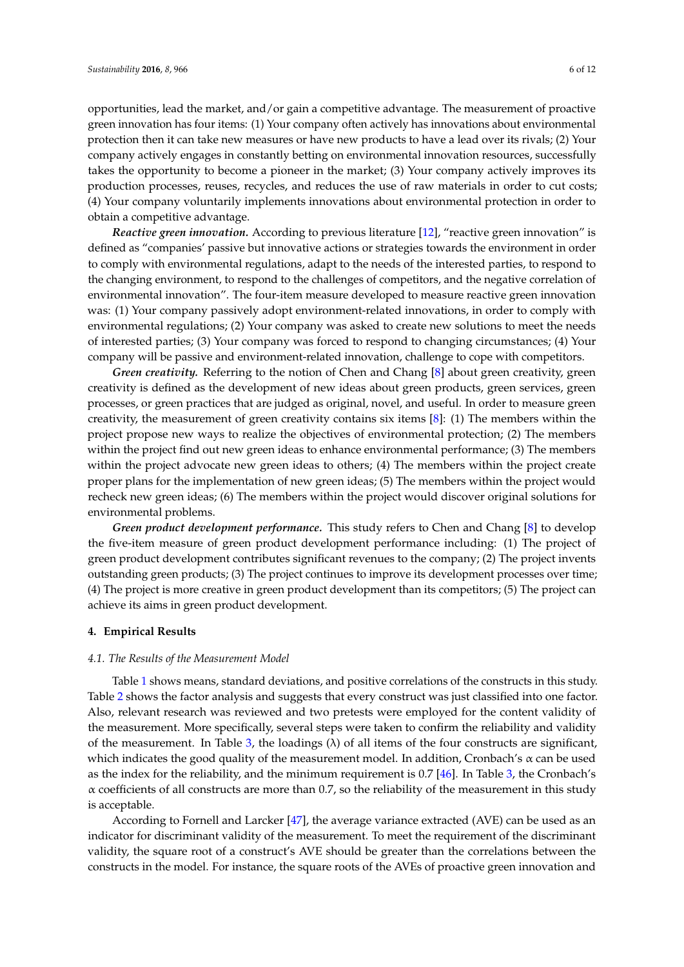opportunities, lead the market, and/or gain a competitive advantage. The measurement of proactive green innovation has four items: (1) Your company often actively has innovations about environmental protection then it can take new measures or have new products to have a lead over its rivals; (2) Your company actively engages in constantly betting on environmental innovation resources, successfully takes the opportunity to become a pioneer in the market; (3) Your company actively improves its production processes, reuses, recycles, and reduces the use of raw materials in order to cut costs; (4) Your company voluntarily implements innovations about environmental protection in order to obtain a competitive advantage.

*Reactive green innovation.* According to previous literature [\[12\]](#page-9-11), "reactive green innovation" is defined as "companies' passive but innovative actions or strategies towards the environment in order to comply with environmental regulations, adapt to the needs of the interested parties, to respond to the changing environment, to respond to the challenges of competitors, and the negative correlation of environmental innovation". The four-item measure developed to measure reactive green innovation was: (1) Your company passively adopt environment-related innovations, in order to comply with environmental regulations; (2) Your company was asked to create new solutions to meet the needs of interested parties; (3) Your company was forced to respond to changing circumstances; (4) Your company will be passive and environment-related innovation, challenge to cope with competitors.

*Green creativity.* Referring to the notion of Chen and Chang [\[8\]](#page-9-7) about green creativity, green creativity is defined as the development of new ideas about green products, green services, green processes, or green practices that are judged as original, novel, and useful. In order to measure green creativity, the measurement of green creativity contains six items [\[8\]](#page-9-7): (1) The members within the project propose new ways to realize the objectives of environmental protection; (2) The members within the project find out new green ideas to enhance environmental performance; (3) The members within the project advocate new green ideas to others; (4) The members within the project create proper plans for the implementation of new green ideas; (5) The members within the project would recheck new green ideas; (6) The members within the project would discover original solutions for environmental problems.

*Green product development performance.* This study refers to Chen and Chang [\[8\]](#page-9-7) to develop the five-item measure of green product development performance including: (1) The project of green product development contributes significant revenues to the company; (2) The project invents outstanding green products; (3) The project continues to improve its development processes over time; (4) The project is more creative in green product development than its competitors; (5) The project can achieve its aims in green product development.

## **4. Empirical Results**

## *4.1. The Results of the Measurement Model*

Table [1](#page-6-0) shows means, standard deviations, and positive correlations of the constructs in this study. Table [2](#page-6-1) shows the factor analysis and suggests that every construct was just classified into one factor. Also, relevant research was reviewed and two pretests were employed for the content validity of the measurement. More specifically, several steps were taken to confirm the reliability and validity of the measurement. In Table [3,](#page-6-2) the loadings  $(\lambda)$  of all items of the four constructs are significant, which indicates the good quality of the measurement model. In addition, Cronbach's  $\alpha$  can be used as the index for the reliability, and the minimum requirement is 0.7 [\[46\]](#page-10-24). In Table [3,](#page-6-2) the Cronbach's  $\alpha$  coefficients of all constructs are more than 0.7, so the reliability of the measurement in this study is acceptable.

According to Fornell and Larcker [\[47\]](#page-11-0), the average variance extracted (AVE) can be used as an indicator for discriminant validity of the measurement. To meet the requirement of the discriminant validity, the square root of a construct's AVE should be greater than the correlations between the constructs in the model. For instance, the square roots of the AVEs of proactive green innovation and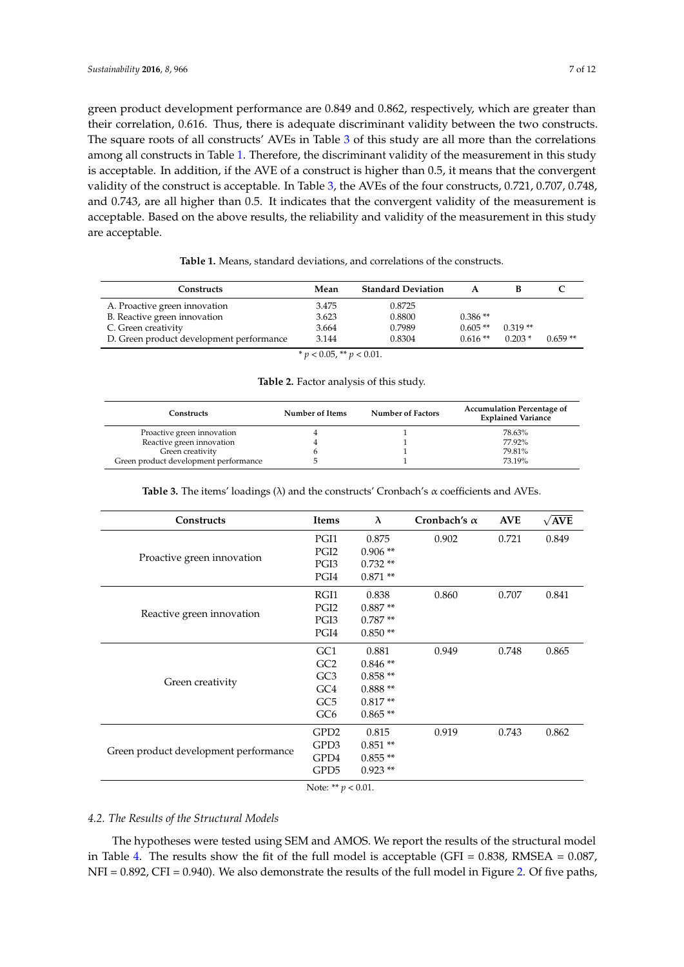green product development performance are 0.849 and 0.862, respectively, which are greater than their correlation, 0.616. Thus, there is adequate discriminant validity between the two constructs. The square roots of all constructs' AVEs in Table [3](#page-6-2) of this study are all more than the correlations among all constructs in Table [1.](#page-6-0) Therefore, the discriminant validity of the measurement in this study is acceptable. In addition, if the AVE of a construct is higher than 0.5, it means that the convergent validity of the construct is acceptable. In Table [3,](#page-6-2) the AVEs of the four constructs, 0.721, 0.707, 0.748, and 0.743, are all higher than 0.5. It indicates that the convergent validity of the measurement is acceptable. Based on the above results, the reliability and validity of the measurement in this study are acceptable.

<span id="page-6-0"></span>

| Constructs                               | Mean                       | <b>Standard Deviation</b> |           |           |           |
|------------------------------------------|----------------------------|---------------------------|-----------|-----------|-----------|
| A. Proactive green innovation            | 3.475                      | 0.8725                    |           |           |           |
| B. Reactive green innovation             | 3.623                      | 0.8800                    | $0.386**$ |           |           |
| C. Green creativity                      | 3.664                      | 0.7989                    | $0.605**$ | $0.319**$ |           |
| D. Green product development performance | 3.144                      | 0.8304                    | $0.616**$ | $0.203*$  | $0.659**$ |
|                                          | $* p < 0.05, ** p < 0.01.$ |                           |           |           |           |

## **Table 1.** Means, standard deviations, and correlations of the constructs.

## **Table 2.** Factor analysis of this study.

<span id="page-6-1"></span>

| Constructs                            | Number of Items | <b>Number of Factors</b> | <b>Accumulation Percentage of</b><br><b>Explained Variance</b> |
|---------------------------------------|-----------------|--------------------------|----------------------------------------------------------------|
| Proactive green innovation            |                 |                          | 78.63%                                                         |
| Reactive green innovation             |                 |                          | 77.92%                                                         |
| Green creativity                      |                 |                          | 79.81%                                                         |
| Green product development performance |                 |                          | 73.19%                                                         |

<span id="page-6-2"></span>

| Constructs                            | Items                 | $\lambda$ | Cronbach's $\alpha$ | <b>AVE</b> | $\sqrt{AVE}$ |
|---------------------------------------|-----------------------|-----------|---------------------|------------|--------------|
|                                       | PGI1                  | 0.875     | 0.902               | 0.721      | 0.849        |
|                                       | PGI <sub>2</sub>      | $0.906**$ |                     |            |              |
| Proactive green innovation            | PGI3                  | $0.732**$ |                     |            |              |
|                                       | PGI4                  | $0.871**$ |                     |            |              |
|                                       | RGI1                  | 0.838     | 0.860               | 0.707      | 0.841        |
| Reactive green innovation             | PGI <sub>2</sub>      | $0.887**$ |                     |            |              |
|                                       | PGI3                  | $0.787**$ |                     |            |              |
|                                       | PGI4                  | $0.850**$ |                     |            |              |
|                                       | GC1                   | 0.881     | 0.949               | 0.748      | 0.865        |
|                                       | GC2                   | $0.846**$ |                     |            |              |
| Green creativity                      | GC <sub>3</sub>       | $0.858**$ |                     |            |              |
|                                       | GC4                   | $0.888**$ |                     |            |              |
|                                       | GC <sub>5</sub>       | $0.817**$ |                     |            |              |
|                                       | GC <sub>6</sub>       | $0.865**$ |                     |            |              |
|                                       | GPD <sub>2</sub>      | 0.815     | 0.919               | 0.743      | 0.862        |
| Green product development performance | GPD3                  | $0.851**$ |                     |            |              |
|                                       | GPD4                  | $0.855**$ |                     |            |              |
|                                       | GPD5                  | $0.923**$ |                     |            |              |
|                                       | Note: ** $p < 0.01$ . |           |                     |            |              |

**Table 3.** The items' loadings (λ) and the constructs' Cronbach's α coefficients and AVEs.

Note: \*\* *p* < 0.01.

#### *4.2. The Results of the Structural Models*

The hypotheses were tested using SEM and AMOS. We report the results of the structural model in Table [4.](#page-7-0) The results show the fit of the full model is acceptable (GFI =  $0.838$ , RMSEA =  $0.087$ , NFI = 0.892, CFI = 0.940). We also demonstrate the results of the full model in Figure [2.](#page-7-1) Of five paths,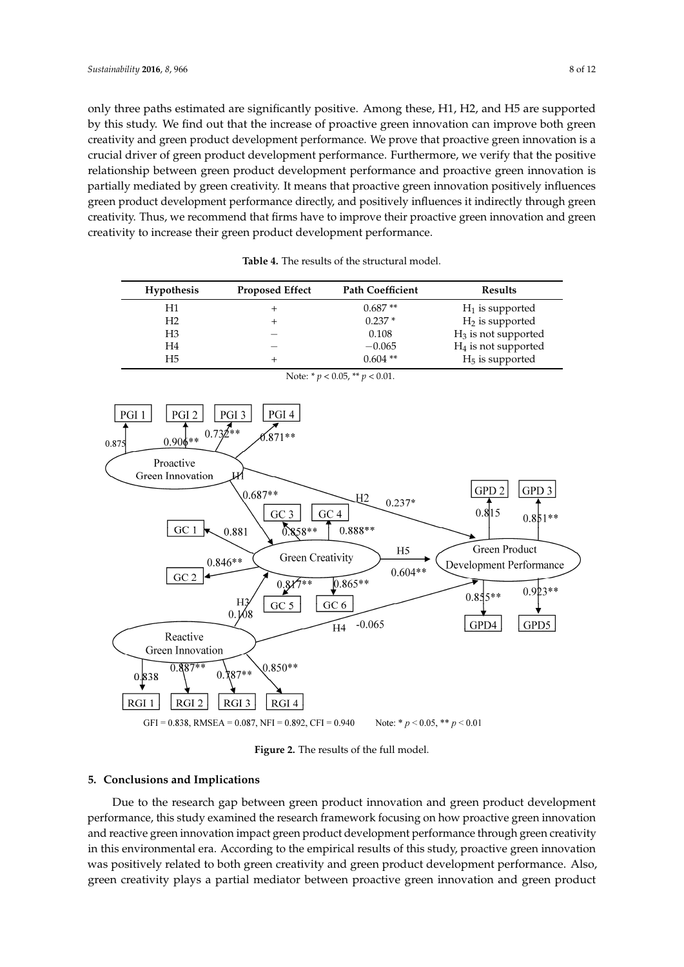only three paths estimated are significantly positive. Among these, H1, H2, and H5 are supported by this study. We find out that the increase of proactive green innovation can improve both green creativity and green product development performance. We prove that proactive green innovation is a crucial driver of green product development performance. Furthermore, we verify that the positive relationship between green product development performance and proactive green innovation is partially mediated by green creativity. It means that proactive green innovation positively influences green product development performance directly, and positively influences it indirectly through green positively influences green product development performance directly, and positively influences it creativity. Thus, we recommend that firms have to improve their proactive green innovation and green creativity to increase their green product development performance.

<span id="page-7-0"></span>

| <b>Hypothesis</b> | <b>Proposed Effect</b> | <b>Path Coefficient</b> | <b>Results</b>         |
|-------------------|------------------------|-------------------------|------------------------|
| H1                |                        | $0.687**$               | $H_1$ is supported     |
| Η2                |                        | $0.237*$                | $H_2$ is supported     |
| H3                |                        | 0.108                   | $H_3$ is not supported |
| H4                |                        | $-0.065$                | $H_4$ is not supported |
| Η5                |                        | $0.604$ **              | $H5$ is supported      |

<span id="page-7-1"></span>

**Figure 2.** The results of the full model. **Figure 2.** The results of the full model.

## **5. Conclusions and Implications 5. Conclusions and Implications**

Due to the research gap between green product innovation and green product development Due to the research gap between green product innovation and green product development performance, this study examined the research framework focusing on how proactive green performance, this study examined the research framework focusing on how proactive green innovation n<br>and reactive green innovation impact green product development performance through green creativity in this environmental era. According to the empirical results of this study, proactive green innovation was positively related to both green creativity and green product development performance. Also,  $p_{\text{recon}}$  green creativity plays a partial mediator between proactive green innovation and green product green creativity plays a partial mediator between proactive green innovation and green product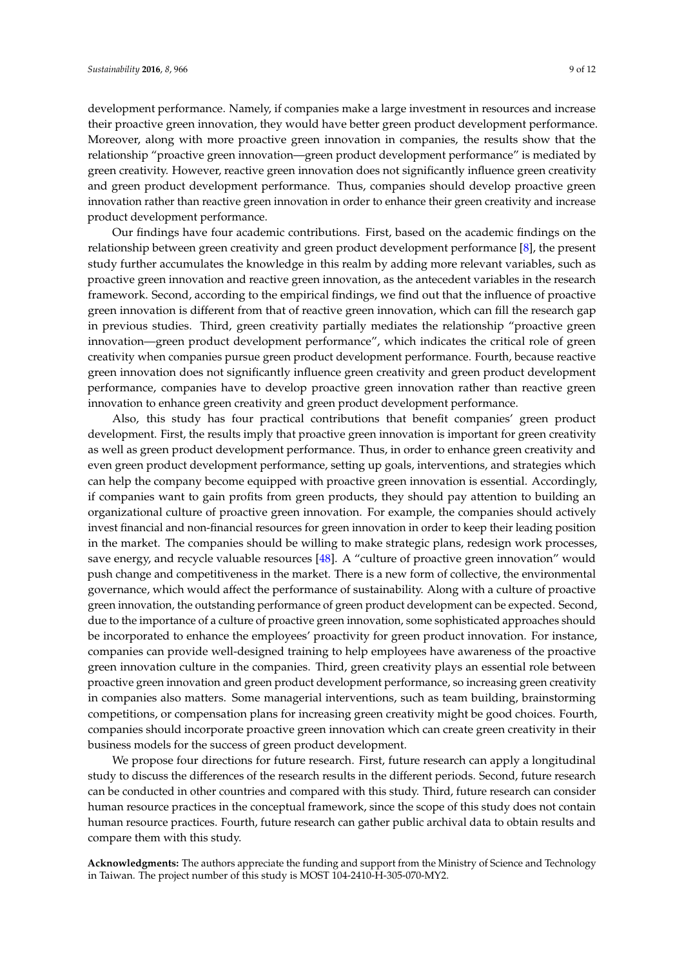development performance. Namely, if companies make a large investment in resources and increase their proactive green innovation, they would have better green product development performance. Moreover, along with more proactive green innovation in companies, the results show that the relationship "proactive green innovation—green product development performance" is mediated by green creativity. However, reactive green innovation does not significantly influence green creativity and green product development performance. Thus, companies should develop proactive green innovation rather than reactive green innovation in order to enhance their green creativity and increase product development performance.

Our findings have four academic contributions. First, based on the academic findings on the relationship between green creativity and green product development performance [\[8\]](#page-9-7), the present study further accumulates the knowledge in this realm by adding more relevant variables, such as proactive green innovation and reactive green innovation, as the antecedent variables in the research framework. Second, according to the empirical findings, we find out that the influence of proactive green innovation is different from that of reactive green innovation, which can fill the research gap in previous studies. Third, green creativity partially mediates the relationship "proactive green innovation—green product development performance", which indicates the critical role of green creativity when companies pursue green product development performance. Fourth, because reactive green innovation does not significantly influence green creativity and green product development performance, companies have to develop proactive green innovation rather than reactive green innovation to enhance green creativity and green product development performance.

Also, this study has four practical contributions that benefit companies' green product development. First, the results imply that proactive green innovation is important for green creativity as well as green product development performance. Thus, in order to enhance green creativity and even green product development performance, setting up goals, interventions, and strategies which can help the company become equipped with proactive green innovation is essential. Accordingly, if companies want to gain profits from green products, they should pay attention to building an organizational culture of proactive green innovation. For example, the companies should actively invest financial and non-financial resources for green innovation in order to keep their leading position in the market. The companies should be willing to make strategic plans, redesign work processes, save energy, and recycle valuable resources [\[48\]](#page-11-1). A "culture of proactive green innovation" would push change and competitiveness in the market. There is a new form of collective, the environmental governance, which would affect the performance of sustainability. Along with a culture of proactive green innovation, the outstanding performance of green product development can be expected. Second, due to the importance of a culture of proactive green innovation, some sophisticated approaches should be incorporated to enhance the employees' proactivity for green product innovation. For instance, companies can provide well-designed training to help employees have awareness of the proactive green innovation culture in the companies. Third, green creativity plays an essential role between proactive green innovation and green product development performance, so increasing green creativity in companies also matters. Some managerial interventions, such as team building, brainstorming competitions, or compensation plans for increasing green creativity might be good choices. Fourth, companies should incorporate proactive green innovation which can create green creativity in their business models for the success of green product development.

We propose four directions for future research. First, future research can apply a longitudinal study to discuss the differences of the research results in the different periods. Second, future research can be conducted in other countries and compared with this study. Third, future research can consider human resource practices in the conceptual framework, since the scope of this study does not contain human resource practices. Fourth, future research can gather public archival data to obtain results and compare them with this study.

**Acknowledgments:** The authors appreciate the funding and support from the Ministry of Science and Technology in Taiwan. The project number of this study is MOST 104-2410-H-305-070-MY2.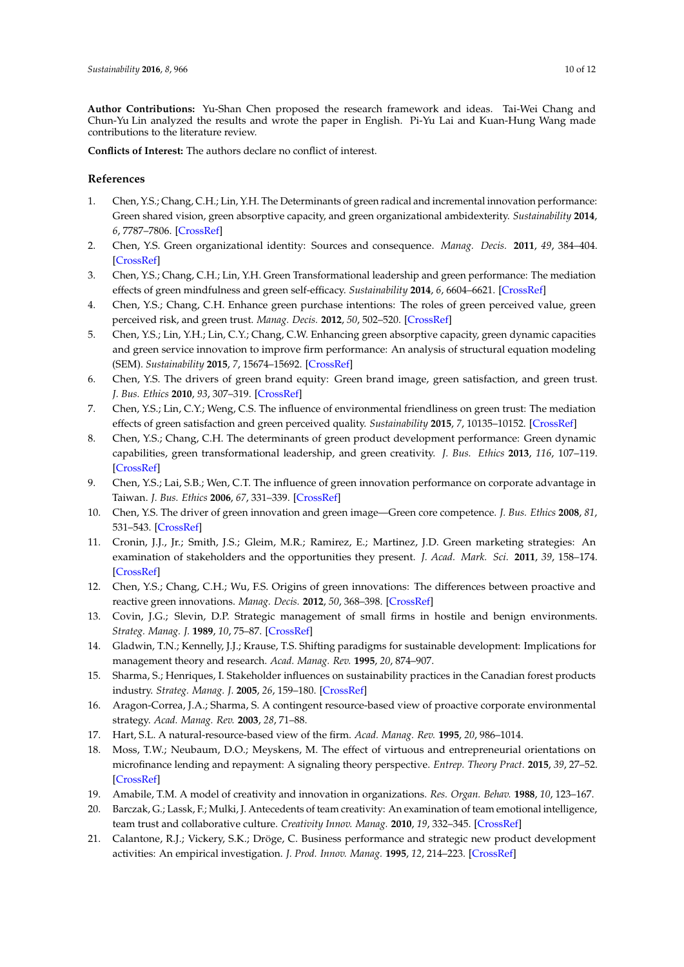**Author Contributions:** Yu-Shan Chen proposed the research framework and ideas. Tai-Wei Chang and Chun-Yu Lin analyzed the results and wrote the paper in English. Pi-Yu Lai and Kuan-Hung Wang made contributions to the literature review.

**Conflicts of Interest:** The authors declare no conflict of interest.

## **References**

- <span id="page-9-0"></span>1. Chen, Y.S.; Chang, C.H.; Lin, Y.H. The Determinants of green radical and incremental innovation performance: Green shared vision, green absorptive capacity, and green organizational ambidexterity. *Sustainability* **2014**, *6*, 7787–7806. [\[CrossRef\]](http://dx.doi.org/10.3390/su6117787)
- <span id="page-9-1"></span>2. Chen, Y.S. Green organizational identity: Sources and consequence. *Manag. Decis.* **2011**, *49*, 384–404. [\[CrossRef\]](http://dx.doi.org/10.1108/00251741111120761)
- <span id="page-9-2"></span>3. Chen, Y.S.; Chang, C.H.; Lin, Y.H. Green Transformational leadership and green performance: The mediation effects of green mindfulness and green self-efficacy. *Sustainability* **2014**, *6*, 6604–6621. [\[CrossRef\]](http://dx.doi.org/10.3390/su6106604)
- <span id="page-9-3"></span>4. Chen, Y.S.; Chang, C.H. Enhance green purchase intentions: The roles of green perceived value, green perceived risk, and green trust. *Manag. Decis.* **2012**, *50*, 502–520. [\[CrossRef\]](http://dx.doi.org/10.1108/00251741211216250)
- <span id="page-9-4"></span>5. Chen, Y.S.; Lin, Y.H.; Lin, C.Y.; Chang, C.W. Enhancing green absorptive capacity, green dynamic capacities and green service innovation to improve firm performance: An analysis of structural equation modeling (SEM). *Sustainability* **2015**, *7*, 15674–15692. [\[CrossRef\]](http://dx.doi.org/10.3390/su71115674)
- <span id="page-9-5"></span>6. Chen, Y.S. The drivers of green brand equity: Green brand image, green satisfaction, and green trust. *J. Bus. Ethics* **2010**, *93*, 307–319. [\[CrossRef\]](http://dx.doi.org/10.1007/s10551-009-0223-9)
- <span id="page-9-6"></span>7. Chen, Y.S.; Lin, C.Y.; Weng, C.S. The influence of environmental friendliness on green trust: The mediation effects of green satisfaction and green perceived quality. *Sustainability* **2015**, *7*, 10135–10152. [\[CrossRef\]](http://dx.doi.org/10.3390/su70810135)
- <span id="page-9-7"></span>8. Chen, Y.S.; Chang, C.H. The determinants of green product development performance: Green dynamic capabilities, green transformational leadership, and green creativity. *J. Bus. Ethics* **2013**, *116*, 107–119. [\[CrossRef\]](http://dx.doi.org/10.1007/s10551-012-1452-x)
- <span id="page-9-8"></span>9. Chen, Y.S.; Lai, S.B.; Wen, C.T. The influence of green innovation performance on corporate advantage in Taiwan. *J. Bus. Ethics* **2006**, *67*, 331–339. [\[CrossRef\]](http://dx.doi.org/10.1007/s10551-006-9025-5)
- <span id="page-9-9"></span>10. Chen, Y.S. The driver of green innovation and green image—Green core competence. *J. Bus. Ethics* **2008**, *81*, 531–543. [\[CrossRef\]](http://dx.doi.org/10.1007/s10551-007-9522-1)
- <span id="page-9-10"></span>11. Cronin, J.J., Jr.; Smith, J.S.; Gleim, M.R.; Ramirez, E.; Martinez, J.D. Green marketing strategies: An examination of stakeholders and the opportunities they present. *J. Acad. Mark. Sci.* **2011**, *39*, 158–174. [\[CrossRef\]](http://dx.doi.org/10.1007/s11747-010-0227-0)
- <span id="page-9-11"></span>12. Chen, Y.S.; Chang, C.H.; Wu, F.S. Origins of green innovations: The differences between proactive and reactive green innovations. *Manag. Decis.* **2012**, *50*, 368–398. [\[CrossRef\]](http://dx.doi.org/10.1108/00251741211216197)
- <span id="page-9-12"></span>13. Covin, J.G.; Slevin, D.P. Strategic management of small firms in hostile and benign environments. *Strateg. Manag. J.* **1989**, *10*, 75–87. [\[CrossRef\]](http://dx.doi.org/10.1002/smj.4250100107)
- <span id="page-9-13"></span>14. Gladwin, T.N.; Kennelly, J.J.; Krause, T.S. Shifting paradigms for sustainable development: Implications for management theory and research. *Acad. Manag. Rev.* **1995**, *20*, 874–907.
- <span id="page-9-14"></span>15. Sharma, S.; Henriques, I. Stakeholder influences on sustainability practices in the Canadian forest products industry. *Strateg. Manag. J.* **2005**, *26*, 159–180. [\[CrossRef\]](http://dx.doi.org/10.1002/smj.439)
- <span id="page-9-15"></span>16. Aragon-Correa, J.A.; Sharma, S. A contingent resource-based view of proactive corporate environmental strategy. *Acad. Manag. Rev.* **2003**, *28*, 71–88.
- <span id="page-9-16"></span>17. Hart, S.L. A natural-resource-based view of the firm. *Acad. Manag. Rev.* **1995**, *20*, 986–1014.
- <span id="page-9-17"></span>18. Moss, T.W.; Neubaum, D.O.; Meyskens, M. The effect of virtuous and entrepreneurial orientations on microfinance lending and repayment: A signaling theory perspective. *Entrep. Theory Pract.* **2015**, *39*, 27–52. [\[CrossRef\]](http://dx.doi.org/10.1111/etap.12110)
- <span id="page-9-18"></span>19. Amabile, T.M. A model of creativity and innovation in organizations. *Res. Organ. Behav.* **1988**, *10*, 123–167.
- <span id="page-9-19"></span>20. Barczak, G.; Lassk, F.; Mulki, J. Antecedents of team creativity: An examination of team emotional intelligence, team trust and collaborative culture. *Creativity Innov. Manag.* **2010**, *19*, 332–345. [\[CrossRef\]](http://dx.doi.org/10.1111/j.1467-8691.2010.00574.x)
- <span id="page-9-20"></span>21. Calantone, R.J.; Vickery, S.K.; Dröge, C. Business performance and strategic new product development activities: An empirical investigation. *J. Prod. Innov. Manag.* **1995**, *12*, 214–223. [\[CrossRef\]](http://dx.doi.org/10.1111/1540-5885.1230214)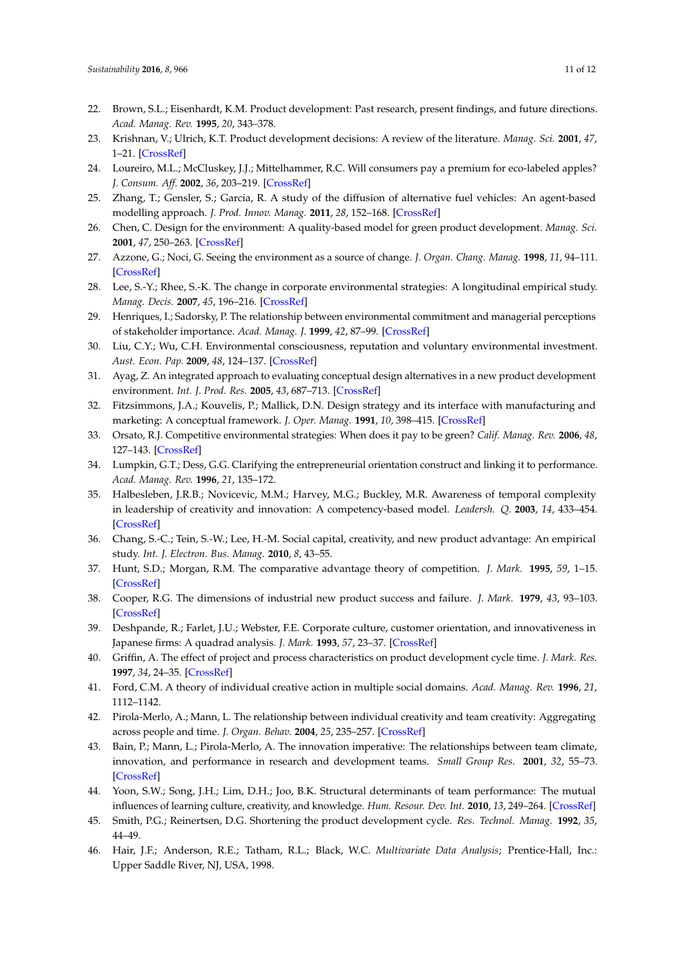- <span id="page-10-0"></span>22. Brown, S.L.; Eisenhardt, K.M. Product development: Past research, present findings, and future directions. *Acad. Manag. Rev.* **1995**, *20*, 343–378.
- <span id="page-10-1"></span>23. Krishnan, V.; Ulrich, K.T. Product development decisions: A review of the literature. *Manag. Sci.* **2001**, *47*, 1–21. [\[CrossRef\]](http://dx.doi.org/10.1287/mnsc.47.1.1.10668)
- <span id="page-10-2"></span>24. Loureiro, M.L.; McCluskey, J.J.; Mittelhammer, R.C. Will consumers pay a premium for eco-labeled apples? *J. Consum. Aff.* **2002**, *36*, 203–219. [\[CrossRef\]](http://dx.doi.org/10.1111/j.1745-6606.2002.tb00430.x)
- <span id="page-10-3"></span>25. Zhang, T.; Gensler, S.; Garcia, R. A study of the diffusion of alternative fuel vehicles: An agent-based modelling approach. *J. Prod. Innov. Manag.* **2011**, *28*, 152–168. [\[CrossRef\]](http://dx.doi.org/10.1111/j.1540-5885.2011.00789.x)
- <span id="page-10-4"></span>26. Chen, C. Design for the environment: A quality-based model for green product development. *Manag. Sci.* **2001**, *47*, 250–263. [\[CrossRef\]](http://dx.doi.org/10.1287/mnsc.47.2.250.9841)
- <span id="page-10-5"></span>27. Azzone, G.; Noci, G. Seeing the environment as a source of change. *J. Organ. Chang. Manag.* **1998**, *11*, 94–111. [\[CrossRef\]](http://dx.doi.org/10.1108/09534819810212106)
- <span id="page-10-6"></span>28. Lee, S.-Y.; Rhee, S.-K. The change in corporate environmental strategies: A longitudinal empirical study. *Manag. Decis.* **2007**, *45*, 196–216. [\[CrossRef\]](http://dx.doi.org/10.1108/00251740710727241)
- <span id="page-10-7"></span>29. Henriques, I.; Sadorsky, P. The relationship between environmental commitment and managerial perceptions of stakeholder importance. *Acad. Manag. J.* **1999**, *42*, 87–99. [\[CrossRef\]](http://dx.doi.org/10.2307/256876)
- <span id="page-10-8"></span>30. Liu, C.Y.; Wu, C.H. Environmental consciousness, reputation and voluntary environmental investment. *Aust. Econ. Pap.* **2009**, *48*, 124–137. [\[CrossRef\]](http://dx.doi.org/10.1111/j.1467-8454.2009.00366.x)
- <span id="page-10-9"></span>31. Ayag, Z. An integrated approach to evaluating conceptual design alternatives in a new product development environment. *Int. J. Prod. Res.* **2005**, *43*, 687–713. [\[CrossRef\]](http://dx.doi.org/10.1080/00207540512331311831)
- <span id="page-10-10"></span>32. Fitzsimmons, J.A.; Kouvelis, P.; Mallick, D.N. Design strategy and its interface with manufacturing and marketing: A conceptual framework. *J. Oper. Manag.* **1991**, *10*, 398–415. [\[CrossRef\]](http://dx.doi.org/10.1016/0272-6963(91)90076-A)
- <span id="page-10-11"></span>33. Orsato, R.J. Competitive environmental strategies: When does it pay to be green? *Calif. Manag. Rev.* **2006**, *48*, 127–143. [\[CrossRef\]](http://dx.doi.org/10.2307/41166341)
- <span id="page-10-12"></span>34. Lumpkin, G.T.; Dess, G.G. Clarifying the entrepreneurial orientation construct and linking it to performance. *Acad. Manag. Rev.* **1996**, *21*, 135–172.
- <span id="page-10-13"></span>35. Halbesleben, J.R.B.; Novicevic, M.M.; Harvey, M.G.; Buckley, M.R. Awareness of temporal complexity in leadership of creativity and innovation: A competency-based model. *Leadersh. Q.* **2003**, *14*, 433–454. [\[CrossRef\]](http://dx.doi.org/10.1016/S1048-9843(03)00046-8)
- <span id="page-10-14"></span>36. Chang, S.-C.; Tein, S.-W.; Lee, H.-M. Social capital, creativity, and new product advantage: An empirical study. *Int. J. Electron. Bus. Manag.* **2010**, *8*, 43–55.
- <span id="page-10-15"></span>37. Hunt, S.D.; Morgan, R.M. The comparative advantage theory of competition. *J. Mark.* **1995**, *59*, 1–15. [\[CrossRef\]](http://dx.doi.org/10.2307/1252069)
- <span id="page-10-16"></span>38. Cooper, R.G. The dimensions of industrial new product success and failure. *J. Mark.* **1979**, *43*, 93–103. [\[CrossRef\]](http://dx.doi.org/10.2307/1250151)
- <span id="page-10-17"></span>39. Deshpande, R.; Farlet, J.U.; Webster, F.E. Corporate culture, customer orientation, and innovativeness in Japanese firms: A quadrad analysis. *J. Mark.* **1993**, *57*, 23–37. [\[CrossRef\]](http://dx.doi.org/10.2307/1252055)
- <span id="page-10-18"></span>40. Griffin, A. The effect of project and process characteristics on product development cycle time. *J. Mark. Res.* **1997**, *34*, 24–35. [\[CrossRef\]](http://dx.doi.org/10.2307/3152062)
- <span id="page-10-19"></span>41. Ford, C.M. A theory of individual creative action in multiple social domains. *Acad. Manag. Rev.* **1996**, *21*, 1112–1142.
- <span id="page-10-20"></span>42. Pirola-Merlo, A.; Mann, L. The relationship between individual creativity and team creativity: Aggregating across people and time. *J. Organ. Behav.* **2004**, *25*, 235–257. [\[CrossRef\]](http://dx.doi.org/10.1002/job.240)
- <span id="page-10-21"></span>43. Bain, P.; Mann, L.; Pirola-Merlo, A. The innovation imperative: The relationships between team climate, innovation, and performance in research and development teams. *Small Group Res.* **2001**, *32*, 55–73. [\[CrossRef\]](http://dx.doi.org/10.1177/104649640103200103)
- <span id="page-10-22"></span>44. Yoon, S.W.; Song, J.H.; Lim, D.H.; Joo, B.K. Structural determinants of team performance: The mutual influences of learning culture, creativity, and knowledge. *Hum. Resour. Dev. Int.* **2010**, *13*, 249–264. [\[CrossRef\]](http://dx.doi.org/10.1080/13678868.2010.483815)
- <span id="page-10-23"></span>45. Smith, P.G.; Reinertsen, D.G. Shortening the product development cycle. *Res. Technol. Manag.* **1992**, *35*, 44–49.
- <span id="page-10-24"></span>46. Hair, J.F.; Anderson, R.E.; Tatham, R.L.; Black, W.C. *Multivariate Data Analysis*; Prentice-Hall, Inc.: Upper Saddle River, NJ, USA, 1998.